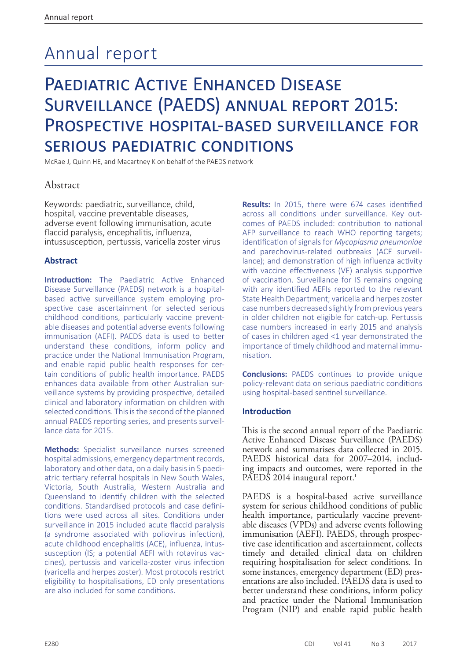# Annual report

## PAEDIATRIC ACTIVE ENHANCED DISEASE Surveillance (PAEDS) annual report 2015: Prospective hospital-based surveillance for serious paediatric conditions

McRae J, Quinn HE, and Macartney K on behalf of the PAEDS network

## Abstract

Keywords: paediatric, surveillance, child, hospital, vaccine preventable diseases, adverse event following immunisation, acute flaccid paralysis, encephalitis, influenza, intussusception, pertussis, varicella zoster virus

## **Abstract**

**Introduction:** The Paediatric Active Enhanced Disease Surveillance (PAEDS) network is a hospitalbased active surveillance system employing prospective case ascertainment for selected serious childhood conditions, particularly vaccine preventable diseases and potential adverse events following immunisation (AEFI). PAEDS data is used to better understand these conditions, inform policy and practice under the National Immunisation Program, and enable rapid public health responses for certain conditions of public health importance. PAEDS enhances data available from other Australian surveillance systems by providing prospective, detailed clinical and laboratory information on children with selected conditions. This is the second of the planned annual PAEDS reporting series, and presents surveillance data for 2015.

**Methods:** Specialist surveillance nurses screened hospital admissions, emergency department records, laboratory and other data, on a daily basis in 5 paediatric tertiary referral hospitals in New South Wales, Victoria, South Australia, Western Australia and Queensland to identify children with the selected conditions. Standardised protocols and case definitions were used across all sites. Conditions under surveillance in 2015 included acute flaccid paralysis (a syndrome associated with poliovirus infection), acute childhood encephalitis (ACE), influenza, intussusception (IS; a potential AEFI with rotavirus vaccines), pertussis and varicella-zoster virus infection (varicella and herpes zoster). Most protocols restrict eligibility to hospitalisations, ED only presentations are also included for some conditions.

**Results:** In 2015, there were 674 cases identified across all conditions under surveillance. Key outcomes of PAEDS included: contribution to national AFP surveillance to reach WHO reporting targets; identification of signals for *Mycoplasma pneumoniae* and parechovirus-related outbreaks (ACE surveillance); and demonstration of high influenza activity with vaccine effectiveness (VE) analysis supportive of vaccination. Surveillance for IS remains ongoing with any identified AEFIs reported to the relevant State Health Department; varicella and herpes zoster case numbers decreased slightly from previous years in older children not eligible for catch-up. Pertussis case numbers increased in early 2015 and analysis of cases in children aged <1 year demonstrated the importance of timely childhood and maternal immunisation.

**Conclusions:** PAEDS continues to provide unique policy-relevant data on serious paediatric conditions using hospital-based sentinel surveillance.

## **Introduction**

This is the second annual report of the Paediatric Active Enhanced Disease Surveillance (PAEDS) network and summarises data collected in 2015. PAEDS historical data for 2007–2014, including impacts and outcomes, were reported in the PAEDS 2014 inaugural report.<sup>1</sup>

PAEDS is a hospital-based active surveillance system for serious childhood conditions of public health importance, particularly vaccine preventable diseases (VPDs) and adverse events following tive case identification and ascertainment, collects timely and detailed clinical data on children requiring hospitalisation for select conditions. In some instances, emergency department (ED) presentations are also included. PAEDS data is used to better understand these conditions, inform policy and practice under the National Immunisation Program (NIP) and enable rapid public health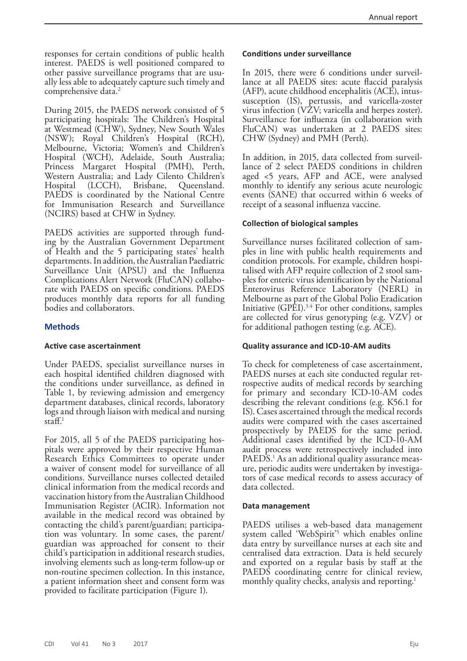responses for certain conditions of public health interest. PAEDS is well positioned compared to other passive surveillance programs that are usually less able to adequately capture such timely and comprehensive data.<sup>2</sup>

During 2015, the PAEDS network consisted of 5 participating hospitals: The Children's Hospital at Westmead (CHW), Sydney, New South Wales (NSW); Royal Children's Hospital (RCH), Melbourne, Victoria; Women's and Children's Hospital (WCH), Adelaide, South Australia; Princess Margaret Hospital (PMH), Perth, Western Australia; and Lady Cilento Children's<br>Hospital (LCCH), Brisbane, Queensland. Hospital (LCCH), Brisbane, Queensland. PAEDS is coordinated by the National Centre for Immunisation Research and Surveillance (NCIRS) based at CHW in Sydney.

PAEDS activities are supported through funding by the Australian Government Department of Health and the 5 participating states' health departments. In addition, the Australian Paediatric Surveillance Unit (APSU) and the Influenza Complications Alert Network (FluCAN) collaborate with PAEDS on specific conditions. PAEDS produces monthly data reports for all funding bodies and collaborators.

## **Methods**

## **Active case ascertainment**

Under PAEDS, specialist surveillance nurses in each hospital identified children diagnosed with the conditions under surveillance, as defined in Table 1, by reviewing admission and emergency department databases, clinical records, laboratory logs and through liaison with medical and nursing  $\mathsf{straff}^1$ 

For 2015, all 5 of the PAEDS participating hospitals were approved by their respective Human Research Ethics Committees to operate under a waiver of consent model for surveillance of all conditions. Surveillance nurses collected detailed clinical information from the medical records and vaccination history from the Australian Childhood Immunisation Register (ACIR). Information not available in the medical record was obtained by contacting the child's parent/guardian; participa- tion was voluntary. In some cases, the parent/ guardian was approached for consent to their child's participation in additional research studies, involving elements such as long-term follow-up or non-routine specimen collection. In this instance, a patient information sheet and consent form was provided to facilitate participation (Figure 1).

## **Conditions under surveillance**

In 2015, there were 6 conditions under surveillance at all PAEDS sites: acute flaccid paralysis (AFP), acute childhood encephalitis (ACE), intussusception (IS), pertussis, and varicella-zoster virus infection (VZV; varicella and herpes zoster). Surveillance for influenza (in collaboration with FluCAN) was undertaken at 2 PAEDS sites: CHW (Sydney) and PMH (Perth).

In addition, in 2015, data collected from surveillance of 2 select PAEDS conditions in children aged <5 years, AFP and ACE, were analysed monthly to identify any serious acute neurologic events (SANE) that occurred within 6 weeks of receipt of a seasonal influenza vaccine.

## **Collection of biological samples**

Surveillance nurses facilitated collection of samples in line with public health requirements and condition protocols. For example, children hospitalised with AFP require collection of 2 stool samples for enteric virus identification by the National Enterovirus Reference Laboratory (NERL) in Melbourne as part of the Global Polio Eradication Initiative (GPEI).3,4 For other conditions, samples are collected for virus genotyping (e.g. VZV) or for additional pathogen testing (e.g. ACE).

## **Quality assurance and ICD-10-AM audits**

To check for completeness of case ascertainment, PAEDS nurses at each site conducted regular ret-<br>rospective audits of medical records by searching for primary and secondary ICD-10-AM codes describing the relevant conditions (e.g. K56.1 for IS). Cases ascertained through the medical records audits were compared with the cases ascertained prospectively by PAEDS for the same period. Additional cases identified by the ICD-10-AM audit process were retrospectively included into PAEDS.<sup>1</sup> As an additional quality assurance measure, periodic audits were undertaken by investigators of case medical records to assess accuracy of data collected.

#### **Data management**

PAEDS utilises a web-based data management system called 'WebSpirit'<sup>5</sup> which enables online data entry by surveillance nurses at each site and centralised data extraction. Data is held securely and exported on a regular basis by staff at the PAEDS coordinating centre for clinical review, monthly quality checks, analysis and reporting.<sup>1</sup>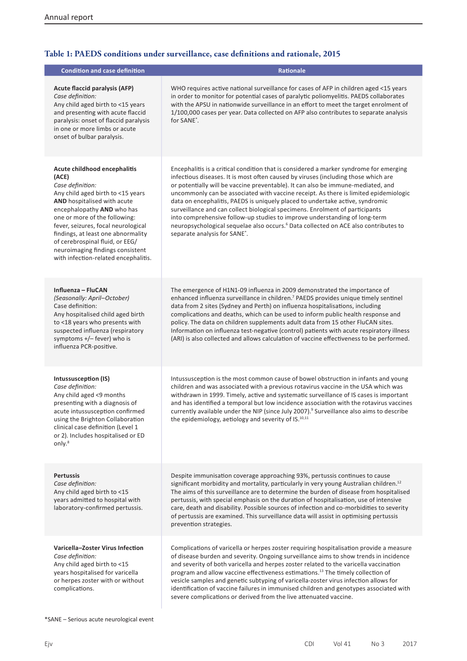I

## **Table 1: PAEDS conditions under surveillance, case definitions and rationale, 2015**

| <b>Condition and case definition</b>                                                                                                                                                                                                                                                                                                                                                     | <b>Rationale</b>                                                                                                                                                                                                                                                                                                                                                                                                                                                                                                                                                                                                                                                                                                                           |
|------------------------------------------------------------------------------------------------------------------------------------------------------------------------------------------------------------------------------------------------------------------------------------------------------------------------------------------------------------------------------------------|--------------------------------------------------------------------------------------------------------------------------------------------------------------------------------------------------------------------------------------------------------------------------------------------------------------------------------------------------------------------------------------------------------------------------------------------------------------------------------------------------------------------------------------------------------------------------------------------------------------------------------------------------------------------------------------------------------------------------------------------|
| <b>Acute flaccid paralysis (AFP)</b><br>Case definition:<br>Any child aged birth to <15 years<br>and presenting with acute flaccid<br>paralysis: onset of flaccid paralysis<br>in one or more limbs or acute<br>onset of bulbar paralysis.                                                                                                                                               | WHO requires active national surveillance for cases of AFP in children aged <15 years<br>in order to monitor for potential cases of paralytic poliomyelitis. PAEDS collaborates<br>with the APSU in nationwide surveillance in an effort to meet the target enrolment of<br>1/100,000 cases per year. Data collected on AFP also contributes to separate analysis<br>for SANE <sup>*</sup> .                                                                                                                                                                                                                                                                                                                                               |
| Acute childhood encephalitis<br>(ACE)<br>Case definition:<br>Any child aged birth to <15 years<br>AND hospitalised with acute<br>encephalopathy AND who has<br>one or more of the following:<br>fever, seizures, focal neurological<br>findings, at least one abnormality<br>of cerebrospinal fluid, or EEG/<br>neuroimaging findings consistent<br>with infection-related encephalitis. | Encephalitis is a critical condition that is considered a marker syndrome for emerging<br>infectious diseases. It is most often caused by viruses (including those which are<br>or potentially will be vaccine preventable). It can also be immune-mediated, and<br>uncommonly can be associated with vaccine receipt. As there is limited epidemiologic<br>data on encephalitis, PAEDS is uniquely placed to undertake active, syndromic<br>surveillance and can collect biological specimens. Enrolment of participants<br>into comprehensive follow-up studies to improve understanding of long-term<br>neuropsychological sequelae also occurs. <sup>6</sup> Data collected on ACE also contributes to<br>separate analysis for SANE*. |
| Influenza - FluCAN<br>(Seasonally: April-October)<br>Case definition:<br>Any hospitalised child aged birth<br>to <18 years who presents with<br>suspected influenza (respiratory<br>symptoms +/- fever) who is<br>influenza PCR-positive.                                                                                                                                                | The emergence of H1N1-09 influenza in 2009 demonstrated the importance of<br>enhanced influenza surveillance in children. <sup>7</sup> PAEDS provides unique timely sentinel<br>data from 2 sites (Sydney and Perth) on influenza hospitalisations, including<br>complications and deaths, which can be used to inform public health response and<br>policy. The data on children supplements adult data from 15 other FluCAN sites.<br>Information on influenza test-negative (control) patients with acute respiratory illness<br>(ARI) is also collected and allows calculation of vaccine effectiveness to be performed.                                                                                                               |
| Intussusception (IS)<br>Case definition:<br>Any child aged <9 months<br>presenting with a diagnosis of<br>acute intussusception confirmed<br>using the Brighton Collaboration<br>clinical case definition (Level 1<br>or 2). Includes hospitalised or ED<br>only. <sup>8</sup>                                                                                                           | Intussusception is the most common cause of bowel obstruction in infants and young<br>children and was associated with a previous rotavirus vaccine in the USA which was<br>withdrawn in 1999. Timely, active and systematic surveillance of IS cases is important<br>and has identified a temporal but low incidence association with the rotavirus vaccines<br>currently available under the NIP (since July 2007). <sup>9</sup> Surveillance also aims to describe<br>the epidemiology, aetiology and severity of $IS.^{10,11}$                                                                                                                                                                                                         |
| <b>Pertussis</b><br>Case definition:<br>Any child aged birth to <15<br>years admitted to hospital with<br>laboratory-confirmed pertussis.                                                                                                                                                                                                                                                | Despite immunisation coverage approaching 93%, pertussis continues to cause<br>significant morbidity and mortality, particularly in very young Australian children. <sup>12</sup><br>The aims of this surveillance are to determine the burden of disease from hospitalised<br>pertussis, with special emphasis on the duration of hospitalisation, use of intensive<br>care, death and disability. Possible sources of infection and co-morbidities to severity<br>of pertussis are examined. This surveillance data will assist in optimising pertussis<br>prevention strategies.                                                                                                                                                        |
| Varicella-Zoster Virus Infection<br>Case definition:<br>Any child aged birth to <15<br>years hospitalised for varicella<br>or herpes zoster with or without<br>complications.                                                                                                                                                                                                            | Complications of varicella or herpes zoster requiring hospitalisation provide a measure<br>of disease burden and severity. Ongoing surveillance aims to show trends in incidence<br>and severity of both varicella and herpes zoster related to the varicella vaccination<br>program and allow vaccine effectiveness estimations. <sup>13</sup> The timely collection of<br>vesicle samples and genetic subtyping of varicella-zoster virus infection allows for<br>identification of vaccine failures in immunised children and genotypes associated with<br>severe complications or derived from the live attenuated vaccine.                                                                                                            |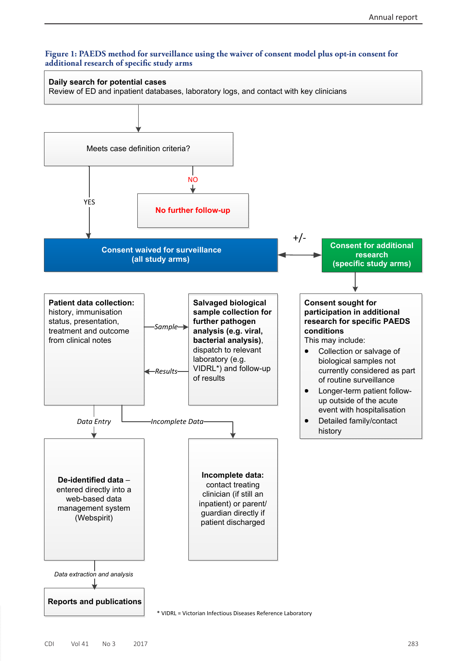## **Figure 1: PAEDS method for surveillance using the waiver of consent model plus opt-in consent for additional research of specific study arms**

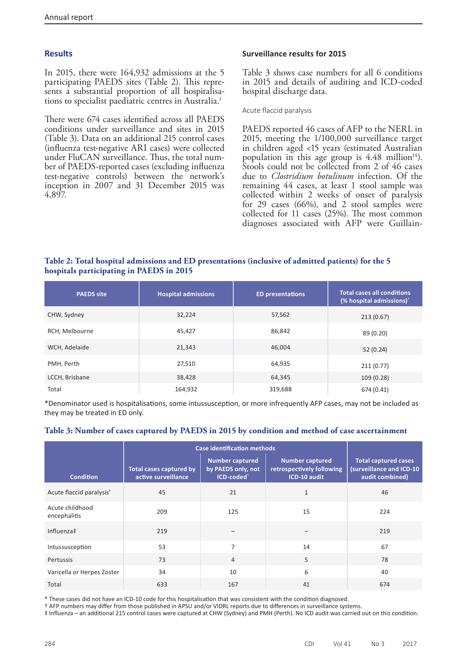## **Results**

In 2015, there were 164,932 admissions at the 5 participating PAEDS sites (Table 2). This represents a substantial proportion of all hospitalisations to specialist paediatric centres in Australia.<sup>1</sup>

There were 674 cases identified across all PAEDS conditions under surveillance and sites in 2015 (Table 3). Data on an additional 215 control cases (influenza test-negative ARI cases) were collected under FluCAN surveillance. Thus, the total number of PAEDS-reported cases (excluding influenza test-negative controls) between the network's inception in 2007 and 31 December 2015 was 4,897.

## **Surveillance results for 2015**

Table 3 shows case numbers for all 6 conditions in 2015 and details of auditing and ICD-coded hospital discharge data.

Acute flaccid paralysis

PAEDS reported 46 cases of AFP to the NERL in 2015, meeting the 1/100,000 surveillance target in children aged <15 years (estimated Australian population in this age group is  $4.48$  million<sup>14</sup>). Stools could not be collected from 2 of 46 cases due to *Clostridium botulinum* infection. Of the remaining 44 cases, at least 1 stool sample was collected within 2 weeks of onset of paralysis for 29 cases (66%), and 2 stool samples were collected for 11 cases (25%). The most common diagnoses associated with AFP were Guillain-

## **Table 2: Total hospital admissions and ED presentations (inclusive of admitted patients) for the 5 hospitals participating in PAEDS in 2015**

| <b>PAEDS</b> site | <b>Hospital admissions</b> | <b>ED presentations</b> | <b>Total cases all conditions</b><br>(% hospital admissions) <sup>*</sup> |
|-------------------|----------------------------|-------------------------|---------------------------------------------------------------------------|
| CHW, Sydney       | 32,224                     | 57,562                  | 213(0.67)                                                                 |
| RCH, Melbourne    | 45,427                     | 86,842                  | 89 (0.20)                                                                 |
| WCH, Adelaide     | 21,343                     | 46,004                  | 52 (0.24)                                                                 |
| PMH, Perth        | 27,510                     | 64,935                  | 211(0.77)                                                                 |
| LCCH, Brisbane    | 38,428                     | 64,345                  | 109(0.28)                                                                 |
| Total             | 164,932                    | 319,688                 | 674 (0.41)                                                                |

\*Denominator used is hospitalisations, some intussusception, or more infrequently AFP cases, may not be included as they may be treated in ED only.

## **Table 3: Number of cases captured by PAEDS in 2015 by condition and method of case ascertainment**

|                                      | <b>Case identification methods</b>             |                                                            |                                                                     |                                                                            |
|--------------------------------------|------------------------------------------------|------------------------------------------------------------|---------------------------------------------------------------------|----------------------------------------------------------------------------|
| <b>Condition</b>                     | Total cases captured by<br>active surveillance | <b>Number captured</b><br>by PAEDS only, not<br>ICD-coded* | <b>Number captured</b><br>retrospectively following<br>ICD-10 audit | <b>Total captured cases</b><br>(surveillance and ICD-10<br>audit combined) |
| Acute flaccid paralysis <sup>+</sup> | 45                                             | 21                                                         | 1                                                                   | 46                                                                         |
| Acute childhood<br>encephalitis      | 209                                            | 125                                                        | 15                                                                  | 224                                                                        |
| Influenza‡                           | 219                                            |                                                            |                                                                     | 219                                                                        |
| Intussusception                      | 53                                             | $\overline{7}$                                             | 14                                                                  | 67                                                                         |
| Pertussis                            | 73                                             | $\overline{4}$                                             | 5                                                                   | 78                                                                         |
| Varicella or Herpes Zoster           | 34                                             | 10                                                         | 6                                                                   | 40                                                                         |
| Total                                | 633                                            | 167                                                        | 41                                                                  | 674                                                                        |

\* These cases did not have an ICD-10 code for this hospitalisation that was consistent with the condition diagnosed.

† AFP numbers may differ from those published in APSU and/or VIDRL reports due to differences in surveillance systems.

‡ Influenza – an additional 215 control cases were captured at CHW (Sydney) and PMH (Perth). No ICD audit was carried out on this condition.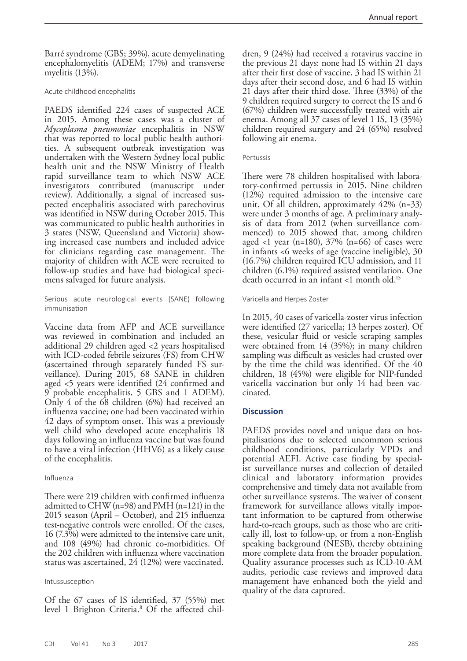Barré syndrome (GBS; 39%), acute demyelinating encephalomyelitis (ADEM; 17%) and transverse myelitis (13%).

#### Acute childhood encephalitis

PAEDS identified 224 cases of suspected ACE in 2015. Among these cases was a cluster of *Mycoplasma pneumoniae* encephalitis in NSW that was reported to local public health authorities. A subsequent outbreak investigation was undertaken with the Western Sydney local public health unit and the NSW Ministry of Health rapid surveillance team to which NSW ACE investigators contributed (manuscript under review). Additionally, a signal of increased suspected encephalitis associated with parechovirus was identified in NSW during October 2015. This was communicated to public health authorities in 3 states (NSW, Queensland and Victoria) showing increased case numbers and included advice for clinicians regarding case management. The majority of children with ACE were recruited to follow-up studies and have had biological specimens salvaged for future analysis.

Serious acute neurological events (SANE) following immunisation

Vaccine data from AFP and ACE surveillance was reviewed in combination and included an additional 29 children aged <2 years hospitalised with ICD-coded febrile seizures (FS) from CHW<br>(ascertained through separately funded FS surveillance). During 2015, 68 SANE in children aged <5 years were identified (24 confirmed and 9 probable encephalitis, 5 GBS and 1 ADEM). Only 4 of the 68 children (6%) had received an influenza vaccine; one had been vaccinated within 42 days of symptom onset. This was a previously well child who developed acute encephalitis 18 days following an influenza vaccine but was found to have a viral infection (HHV6) as a likely cause of the encephalitis.

#### Influenza

There were 219 children with confirmed influenza admitted to CHW (n=98) and PMH (n=121) in the 2015 season (April – October), and 215 influenza test-negative controls were enrolled. Of the cases, 16 (7.3%) were admitted to the intensive care unit, and 108 (49%) had chronic co-morbidities. Of the 202 children with influenza where vaccination status was ascertained, 24 (12%) were vaccinated.

#### Intussusception

Of the 67 cases of IS identified, 37 (55%) met level 1 Brighton Criteria.8 Of the affected children, 9 (24%) had received a rotavirus vaccine in the previous 21 days: none had IS within 21 days after their first dose of vaccine, 3 had IS within 21 days after their second dose, and 6 had IS within 21 days after their third dose. Three (33%) of the 9 children required surgery to correct the IS and 6 (67%) children were successfully treated with air enema. Among all 37 cases of level 1 IS, 13 (35%) children required surgery and 24 (65%) resolved following air enema.

#### Pertussis

There were 78 children hospitalised with laboratory-confirmed pertussis in 2015. Nine children (12%) required admission to the intensive care unit. Of all children, approximately 42% (n=33) were under 3 months of age. A preliminary analysis of data from 2012 (when surveillance commenced) to 2015 showed that, among children aged  $\langle$ 1 year (n=180), 37% (n=66) of cases were in infants <6 weeks of age (vaccine ineligible), 30 (16.7%) children required ICU admission, and 11 children (6.1%) required assisted ventilation. One death occurred in an infant <1 month old.15

Varicella and Herpes Zoster

In 2015, 40 cases of varicella-zoster virus infection were identified (27 varicella; 13 herpes zoster). Of these, vesicular fluid or vesicle scraping samples were obtained from 14 (35%); in many children sampling was difficult as vesicles had crusted over by the time the child was identified. Of the 40 children, 18 (45%) were eligible for NIP-funded varicella vaccination but only 14 had been vac- cinated.

#### **Discussion**

PAEDS provides novel and unique data on hos-<br>pitalisations due to selected uncommon serious childhood conditions, particularly VPDs and potential AEFI. Active case finding by specialist surveillance nurses and collection of detailed clinical and laboratory information provides comprehensive and timely data not available from other surveillance systems. The waiver of consent framework for surveillance allows vitally important information to be captured from otherwise hard-to-reach groups, such as those who are criti- cally ill, lost to follow-up, or from a non-English speaking background (NESB), thereby obtaining more complete data from the broader population. Quality assurance processes such as ICD-10-AM audits, periodic case reviews and improved data management have enhanced both the yield and quality of the data captured.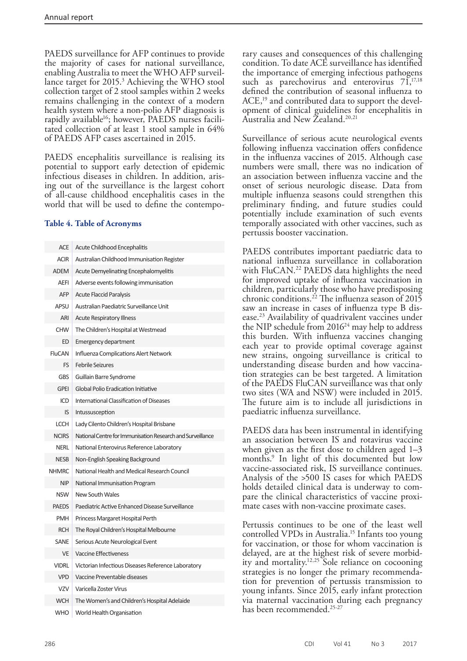PAEDS surveillance for AFP continues to provide the majority of cases for national surveillance, enabling Australia to meet the WHO AFP surveillance target for 2015.<sup>3</sup> Achieving the WHO stool collection target of 2 stool samples within 2 weeks remains challenging in the context of a modern health system where a non-polio AFP diagnosis is rapidly available<sup>16</sup>; however, PAEDS nurses facilitated collection of at least 1 stool sample in 64% of PAEDS AFP cases ascertained in 2015.

PAEDS encephalitis surveillance is realising its potential to support early detection of epidemic infectious diseases in children. In addition, arising out of the surveillance is the largest cohort of all-cause childhood encephalitis cases in the world that will be used to define the contempo-

## **Table 4. Table of Acronyms**

| <b>ACE</b>    | <b>Acute Childhood Encephalitis</b>                        |
|---------------|------------------------------------------------------------|
| <b>ACIR</b>   | Australian Childhood Immunisation Register                 |
| <b>ADEM</b>   | <b>Acute Demyelinating Encephalomyelitis</b>               |
| <b>AEFI</b>   | Adverse events following immunisation                      |
| <b>AFP</b>    | <b>Acute Flaccid Paralysis</b>                             |
| APSU          | Australian Paediatric Surveillance Unit                    |
| ARI           | <b>Acute Respiratory Illness</b>                           |
| <b>CHW</b>    | The Children's Hospital at Westmead                        |
| ED            | Emergency department                                       |
| <b>FluCAN</b> | Influenza Complications Alert Network                      |
| FS            | <b>Febrile Seizures</b>                                    |
| <b>GBS</b>    | Guillain Barre Syndrome                                    |
| <b>GPEI</b>   | Global Polio Eradication Initiative                        |
| ICD           | International Classification of Diseases                   |
| IS            | Intussusception                                            |
| <b>LCCH</b>   | Lady Cilento Children's Hospital Brisbane                  |
| <b>NCIRS</b>  | National Centre for Immunisation Research and Surveillance |
| <b>NERL</b>   | National Enterovirus Reference Laboratory                  |
| <b>NESB</b>   | Non-English Speaking Background                            |
| <b>NHMRC</b>  | National Health and Medical Research Council               |
| <b>NIP</b>    | National Immunisation Program                              |
| <b>NSW</b>    | <b>New South Wales</b>                                     |
| <b>PAEDS</b>  | Paediatric Active Enhanced Disease Surveillance            |
| <b>PMH</b>    | Princess Margaret Hospital Perth                           |
| <b>RCH</b>    | The Royal Children's Hospital Melbourne                    |
| <b>SANE</b>   | Serious Acute Neurological Event                           |
| <b>VE</b>     | <b>Vaccine Effectiveness</b>                               |
| <b>VIDRL</b>  | Victorian Infectious Diseases Reference Laboratory         |
| <b>VPD</b>    | Vaccine Preventable diseases                               |
| <b>VZV</b>    | Varicella Zoster Virus                                     |
| <b>WCH</b>    | The Women's and Children's Hospital Adelaide               |
| <b>WHO</b>    | World Health Organisation                                  |

rary causes and consequences of this challenging condition. To date ACE surveillance has identified the importance of emerging infectious pathogens such as parechovirus and enterovirus  $71,17,18$ defined the contribution of seasonal influenza to  $ACE<sub>19</sub>$  and contributed data to support the development of clinical guidelines for encephalitis in Australia and New Zealand.20,21

Surveillance of serious acute neurological events following influenza vaccination offers confidence in the influenza vaccines of 2015. Although case numbers were small, there was no indication of an association between influenza vaccine and the onset of serious neurologic disease. Data from multiple influenza seasons could strengthen this preliminary finding, and future studies could potentially include examination of such events temporally associated with other vaccines, such as pertussis booster vaccination.

PAEDS contributes important paediatric data to national influenza surveillance in collaboration with FluCAN.<sup>22</sup> PAEDS data highlights the need for improved uptake of influenza vaccination in children, particularly those who have predisposing chronic conditions.22 The influenza season of 2015 saw an increase in cases of influenza type B disease.23 Availability of quadrivalent vaccines under the NIP schedule from 201624 may help to address this burden. With influenza vaccines changing each year to provide optimal coverage against new strains, ongoing surveillance is critical to understanding disease burden and how vaccina- tion strategies can be best targeted. A limitation of the PAEDS FluCAN surveillance was that only two sites (WA and NSW) were included in 2015. The future aim is to include all jurisdictions in paediatric influenza surveillance.

PAEDS data has been instrumental in identifying an association between IS and rotavirus vaccine when given as the first dose to children aged 1–3 months.9 In light of this documented but low vaccine-associated risk, IS surveillance continues. Analysis of the >500 IS cases for which PAEDS holds detailed clinical data is underway to compare the clinical characteristics of vaccine proximate cases with non-vaccine proximate cases.

Pertussis continues to be one of the least well controlled VPDs in Australia.<sup>15</sup> Infants too young for vaccination, or those for whom vaccination is delayed, are at the highest risk of severe morbidity and mortality.<sup>12,25</sup> Sole reliance on cocooning strategies is no longer the primary recommendation for prevention of pertussis transmission to young infants. Since 2015, early infant protection via maternal vaccination during each pregnancy has been recommended.25-27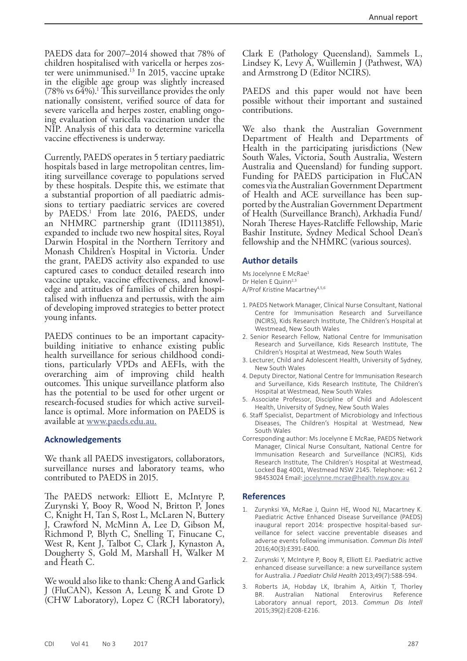PAEDS data for 2007–2014 showed that 78% of children hospitalised with varicella or herpes zoster were unimmunised.13 In 2015, vaccine uptake in the eligible age group was slightly increased (78% vs 64%).1 This surveillance provides the only nationally consistent, verified source of data for severe varicella and herpes zoster, enabling ongoing evaluation of varicella vaccination under the NIP. Analysis of this data to determine varicella vaccine effectiveness is underway.

Currently, PAEDS operates in 5 tertiary paediatric hospitals based in large metropolitan centres, limiting surveillance coverage to populations served by these hospitals. Despite this, we estimate that a substantial proportion of all paediatric admissions to tertiary paediatric services are covered by PAEDS.1 From late 2016, PAEDS, under an NHMRC partnership grant (ID1113851), expanded to include two new hospital sites, Royal Darwin Hospital in the Northern Territory and Monash Children's Hospital in Victoria. Under the grant, PAEDS activity also expanded to use captured cases to conduct detailed research into vaccine uptake, vaccine effectiveness, and knowledge and attitudes of families of children hospitalised with influenza and pertussis, with the aim of developing improved strategies to better protect young infants.

PAEDS continues to be an important capacitybuilding initiative to enhance existing public health surveillance for serious childhood conditions, particularly VPDs and AEFIs, with the overarching aim of improving child health outcomes. This unique surveillance platform also has the potential to be used for other urgent or research-focused studies for which active surveil- lance is optimal. More information on PAEDS is available at [www.paeds.edu.au.](http://www.paeds.edu.au)

#### **Acknowledgements**

We thank all PAEDS investigators, collaborators, surveillance nurses and laboratory teams, who contributed to PAEDS in 2015.

The PAEDS network: Elliott E, McIntyre P, Zurynski Y, Booy R, Wood N, Britton P, Jones C, Knight H, Tan S, Rost L, McLaren N, Buttery J, Crawford N, McMinn A, Lee D, Gibson M, Richmond P, Blyth C, Snelling T, Finucane C, West R, Kent J, Talbot C, Clark J, Kynaston A, Dougherty S, Gold M, Marshall H, Walker M and Heath C.

We would also like to thank: Cheng A and Garlick J (FluCAN), Kesson A, Leung K and Grote D (CHW Laboratory), Lopez C (RCH laboratory),

Clark E (Pathology Queensland), Sammels L, Lindsey K, Levy A, Wuillemin J (Pathwest, WA) and Armstrong D (Editor NCIRS).

PAEDS and this paper would not have been possible without their important and sustained contributions.

We also thank the Australian Government Department of Health and Departments of Health in the participating jurisdictions (New South Wales, Victoria, South Australia, Western Australia and Queensland) for funding support. Funding for PAEDS participation in FluCAN comes via the Australian Government Department of Health and ACE surveillance has been supported by the Australian Government Department of Health (Surveillance Branch), Arkhadia Fund/ Norah Therese Hayes-Ratcliffe Fellowship, Marie Bashir Institute, Sydney Medical School Dean's fellowship and the NHMRC (various sources).

#### **Author details**

Ms Jocelynne E McRae<sup>1</sup> Dr Helen E Quinn<sup>2,3</sup> A/Prof Kristine Macartney<sup>4,5,6</sup>

- 1. PAEDS Network Manager, Clinical Nurse Consultant, National Centre for Immunisation Research and Surveillance (NCIRS), Kids Research Institute, The Children's Hospital at Westmead, New South Wales
- 2. Senior Research Fellow, National Centre for Immunisation Research and Surveillance, Kids Research Institute, The Children's Hospital at Westmead, New South Wales
- 3. Lecturer, Child and Adolescent Health, University of Sydney, New South Wales
- 4. Deputy Director, National Centre for Immunisation Research and Surveillance, Kids Research Institute, The Children's Hospital at Westmead, New South Wales
- 5. Associate Professor, Discipline of Child and Adolescent Health, University of Sydney, New South Wales
- 6. Staff Specialist, Department of Microbiology and Infectious Diseases, The Children's Hospital at Westmead, New South Wales
- Corresponding author: Ms Jocelynne E McRae, PAEDS Network Manager, Clinical Nurse Consultant, National Centre for Immunisation Research and Surveillance (NCIRS), Kids Research Institute, The Children's Hospital at Westmead, Locked Bag 4001, Westmead NSW 2145. Telephone: +61 2 98453024 Email: [jocelynne.mcrae@health.nsw.gov.au](mailto:jocelynne.mcrae@health.nsw.gov.au)

#### **References**

- 1. Zurynksi YA, McRae J, Quinn HE, Wood NJ, Macartney K. Paediatric Active Enhanced Disease Surveillance (PAEDS) inaugural report 2014: prospective hospital-based surveillance for select vaccine preventable diseases and adverse events following immunisation. *Commun Dis Intell* 2016;40(3):E391-E400.
- 2. Zurynski Y, McIntyre P, Booy R, Elliott EJ. Paediatric active enhanced disease surveillance: a new surveillance system for Australia. *J Paediatr Child Health* 2013;49(7):588-594.
- 3. Roberts JA, Hobday LK, Ibrahim A, Aitkin T, Thorley Australian National Enterovirus Reference Laboratory annual report, 2013. *Commun Dis Intell* 2015;39(2):E208-E216.